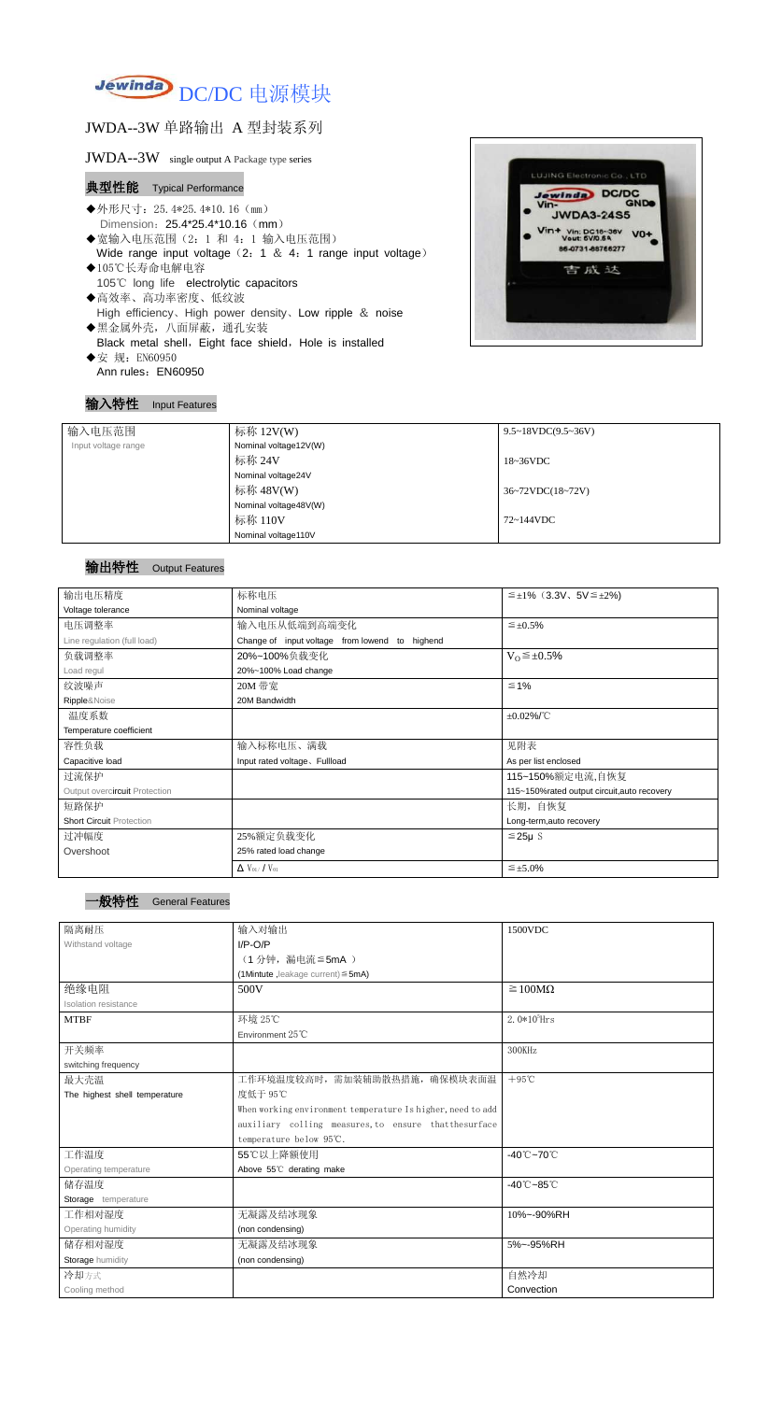

## JWDA--3W 单路输出 A 型封装系列

#### JWDA--3W single output A Package type series

## 典型性能 Typical Performance

- ◆外形尺寸: 25.4\*25.4\*10.16 (mm) Dimension: 25.4\*25.4\*10.16 (mm)
- ◆宽输入电压范围(2:1 和 4:1 输入电压范围) Wide range input voltage  $(2: 1 \& 4: 1$  range input voltage)
- ◆105℃长寿命电解电容 105℃ long life electrolytic capacitors ◆高效率、高功率密度、低纹波
- High efficiency、High power density、Low ripple & noise
- ◆黑金属外壳,八面屏蔽,通孔安装 Black metal shell, Eight face shield, Hole is installed ◆安 规: EN60950
- Ann rules: EN60950



#### 输入特性 Input Features

#### 输出特性 Output Features

## 一般特性 General Features

| 输入电压范围              | 标称 12V(W)             | $9.5 \sim 18 VDC(9.5 \sim 36 V)$     |
|---------------------|-----------------------|--------------------------------------|
| Input voltage range | Nominal voltage12V(W) |                                      |
|                     | 标称 24V                | 18~36VDC                             |
|                     | Nominal voltage24V    |                                      |
|                     | 标称 48V(W)             | $36~72\textrm{VDC}(18~72\textrm{V})$ |
|                     | Nominal voltage48V(W) |                                      |
|                     | 标称 110V               | 72~144VDC                            |
|                     | Nominal voltage110V   |                                      |

| 输出电压精度                          | 标称电压                                           | $\leq \pm 1\%$ (3.3V, 5V $\leq \pm 2\%$ )   |  |  |
|---------------------------------|------------------------------------------------|---------------------------------------------|--|--|
| Voltage tolerance               | Nominal voltage                                |                                             |  |  |
| 电压调整率                           | 输入电压从低端到高端变化                                   | $\leq \pm 0.5\%$                            |  |  |
| Line regulation (full load)     | Change of input voltage from lowend to highend |                                             |  |  |
| 负载调整率                           | 20%~100%负载变化                                   | $V_0 \leq \pm 0.5\%$                        |  |  |
| Load regul                      | 20%~100% Load change                           |                                             |  |  |
| 纹波噪声                            | 20M 带宽                                         | $\leq 1\%$                                  |  |  |
| Ripple&Noise                    | 20M Bandwidth                                  |                                             |  |  |
| 温度系数                            |                                                | $\pm 0.02\%$ /°C                            |  |  |
| Temperature coefficient         |                                                |                                             |  |  |
| 容性负载                            | 输入标称电压、满载                                      | 见附表                                         |  |  |
| Capacitive load                 | Input rated voltage, Fullload                  | As per list enclosed                        |  |  |
| 过流保护                            |                                                | 115~150%额定电流,自恢复                            |  |  |
| Output overcircuit Protection   |                                                | 115~150%rated output circuit, auto recovery |  |  |
| 短路保护                            |                                                | 长期, 自恢复                                     |  |  |
| <b>Short Circuit Protection</b> |                                                | Long-term, auto recovery                    |  |  |
| 过冲幅度                            | 25%额定负载变化<br>$≤25\mu$ S                        |                                             |  |  |
| Overshoot                       | 25% rated load change                          |                                             |  |  |
|                                 | $\Delta$ V <sub>01</sub> /V <sub>01</sub>      | $\leq \pm 5.0\%$                            |  |  |

| 隔离耐压                          | 输入对输出                                                       | 1500VDC                         |  |
|-------------------------------|-------------------------------------------------------------|---------------------------------|--|
| Withstand voltage             | $I/P-O/P$                                                   |                                 |  |
|                               | (1分钟,漏电流≦5mA)                                               |                                 |  |
|                               | (1Mintute, leakage current) $\leq$ 5mA)                     |                                 |  |
| 绝缘电阻                          | 500V                                                        | $\geq 100M\Omega$               |  |
| Isolation resistance          |                                                             |                                 |  |
| <b>MTBF</b>                   | 环境 25℃                                                      | $2.0*105$ Hrs                   |  |
|                               | Environment 25°C                                            |                                 |  |
| 开关频率                          |                                                             | 300KHz                          |  |
| switching frequency           |                                                             |                                 |  |
| 最大壳温                          | 工作环境温度较高时, 需加装辅助散热措施, 确保模块表面温                               | $+95^{\circ}$ C                 |  |
| The highest shell temperature | 度低于 95℃                                                     |                                 |  |
|                               | When working environment temperature Is higher, need to add |                                 |  |
|                               | auxiliary colling measures, to ensure that the surface      |                                 |  |
|                               | temperature below 95℃.                                      |                                 |  |
| 工作温度                          | 55℃以上降额使用                                                   | $-40^{\circ}$ C $-70^{\circ}$ C |  |
| Operating temperature         | Above 55°C derating make                                    |                                 |  |
| 储存温度                          |                                                             | $-40^{\circ}$ C $-85^{\circ}$ C |  |
| Storage temperature           |                                                             |                                 |  |
| 工作相对湿度                        | 无凝露及结冰现象<br>10%~-90%RH                                      |                                 |  |
| Operating humidity            | (non condensing)                                            |                                 |  |
| 储存相对湿度                        | 5%~-95%RH<br>无凝露及结冰现象                                       |                                 |  |
| Storage humidity              | (non condensing)                                            |                                 |  |
| 冷却方式                          |                                                             | 自然冷却                            |  |
| Cooling method                |                                                             | Convection                      |  |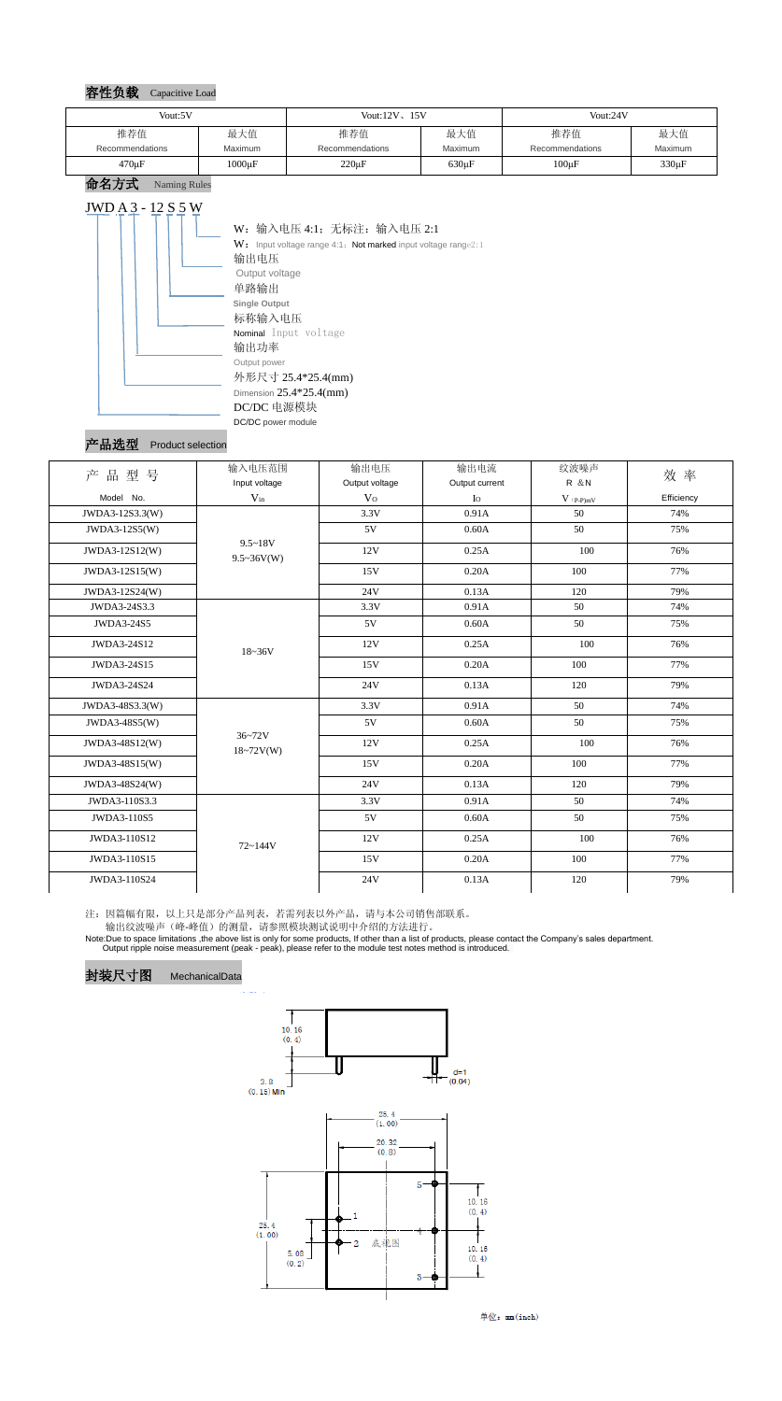#### 容性负载 Capacitive Load

命名方式 Naming Rules



#### 产品选型 Product selection

注:因篇幅有限,以上只是部分产品列表,若需列表以外产品,请与本公司销售部联系。

输出纹波噪声(峰-峰值)的测量,请参照模块测试说明中介绍的方法进行。

Note:Due to space limitations ,the above list is only for some products, If other than a list of products, please contact the Company's sales department. Output ripple noise measurement (peak - peak), please refer to the module test notes method is introduced.







单位: mm(inch)

| Vout:5V         |             | Vout: $12V$ , $15V$ |             | Vout:24V        |                |
|-----------------|-------------|---------------------|-------------|-----------------|----------------|
| 推荐值             | 最大值         | 推荐值                 | 最大值         | 推荐值             | 最大值            |
| Recommendations | Maximum     | Recommendations     | Maximum     | Recommendations | <b>Maximum</b> |
| $470 \mu F$     | $1000\mu F$ | $220 \mu F$         | $630 \mu F$ | $100 \mu F$     | 330µF          |

| 产品型号              | 输入电压范围                      | 输出电压           | 输出电流           | 纹波噪声                                   | 效率         |
|-------------------|-----------------------------|----------------|----------------|----------------------------------------|------------|
|                   | Input voltage               | Output voltage | Output current | R & N                                  |            |
| Model No.         | $V_{in}$                    | V <sub>O</sub> | $I_{\rm O}$    | $V$ $\mathrm{(}p\text{-}p\mathrm{)}mV$ | Efficiency |
| JWDA3-12S3.3(W)   | $9.5 - 18V$                 | 3.3V           | 0.91A          | 50                                     | 74%        |
| JWDA3-12S5(W)     |                             | 5V             | 0.60A          | 50                                     | 75%        |
| JWDA3-12S12(W)    | $9.5 \sim 36V(W)$           | 12V            | 0.25A          | 100                                    | 76%        |
| JWDA3-12S15(W)    |                             | 15V            | 0.20A          | 100                                    | 77%        |
| JWDA3-12S24(W)    |                             | 24V            | 0.13A          | 120                                    | 79%        |
| JWDA3-24S3.3      | $18 - 36V$                  | 3.3V           | 0.91A          | 50                                     | 74%        |
| <b>JWDA3-24S5</b> |                             | 5V             | 0.60A          | 50                                     | 75%        |
| JWDA3-24S12       |                             | 12V            | 0.25A          | 100                                    | 76%        |
| JWDA3-24S15       |                             | 15V            | 0.20A          | 100                                    | 77%        |
| JWDA3-24S24       |                             | 24V            | 0.13A          | 120                                    | 79%        |
| JWDA3-48S3.3(W)   | $36 - 72V$<br>$18 - 72V(W)$ | 3.3V           | 0.91A          | 50                                     | 74%        |
| JWDA3-48S5(W)     |                             | 5V             | 0.60A          | 50                                     | 75%        |
| JWDA3-48S12(W)    |                             | 12V            | 0.25A          | 100                                    | 76%        |
| JWDA3-48S15(W)    |                             | 15V            | 0.20A          | 100                                    | 77%        |
| JWDA3-48S24(W)    |                             | 24V            | 0.13A          | 120                                    | 79%        |
| JWDA3-110S3.3     | $72 - 144V$                 | 3.3V           | 0.91A          | 50                                     | 74%        |
| JWDA3-110S5       |                             | 5V             | 0.60A          | 50                                     | 75%        |
| JWDA3-110S12      |                             | 12V            | 0.25A          | 100                                    | 76%        |
| JWDA3-110S15      |                             | 15V            | 0.20A          | 100                                    | 77%        |
| JWDA3-110S24      |                             | 24V            | 0.13A          | 120                                    | 79%        |